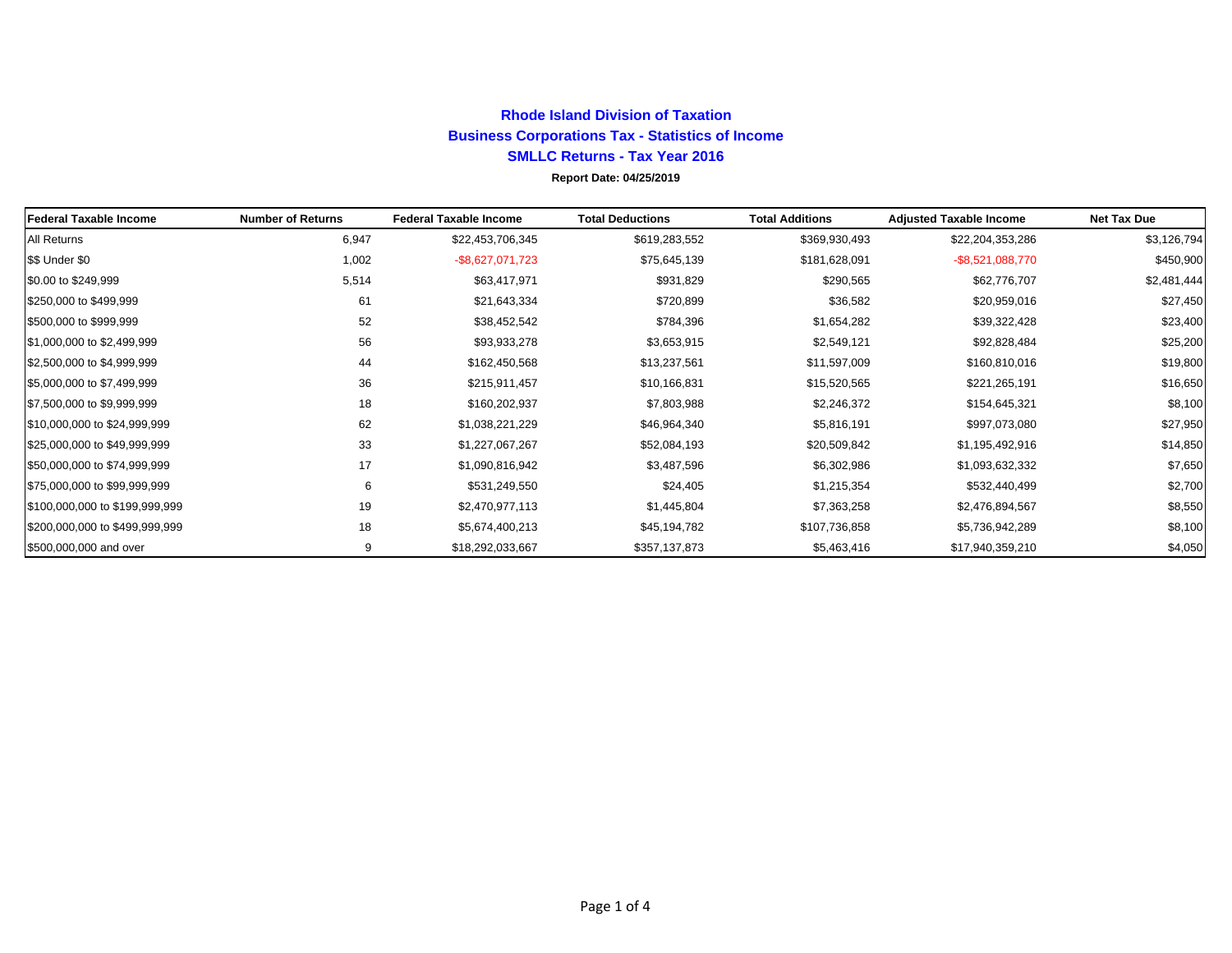## **Rhode Island Division of TaxationBusiness Corporations Tax - Statistics of Income SMLLC Returns - Tax Year 2016 Report Date: 04/25/2019**

| Federal Taxable Income         | <b>Number of Returns</b> | <b>Federal Taxable Income</b> | <b>Total Deductions</b> | <b>Total Additions</b> | <b>Adjusted Taxable Income</b> | <b>Net Tax Due</b> |
|--------------------------------|--------------------------|-------------------------------|-------------------------|------------------------|--------------------------------|--------------------|
| All Returns                    | 6,947                    | \$22,453,706,345              | \$619,283,552           | \$369,930,493          | \$22,204,353,286               | \$3,126,794        |
| \$\$ Under \$0                 | 1,002                    | -\$8,627,071,723              | \$75,645,139            | \$181,628,091          | $-$ \$8,521,088,770            | \$450,900          |
| \$0.00 to \$249,999            | 5,514                    | \$63,417,971                  | \$931,829               | \$290,565              | \$62,776,707                   | \$2,481,444        |
| \$250,000 to \$499,999         | 61                       | \$21,643,334                  | \$720,899               | \$36,582               | \$20,959,016                   | \$27,450           |
| \$500,000 to \$999,999         | 52                       | \$38,452,542                  | \$784,396               | \$1,654,282            | \$39,322,428                   | \$23,400           |
| \$1,000,000 to \$2,499,999     | 56                       | \$93,933,278                  | \$3,653,915             | \$2,549,121            | \$92,828,484                   | \$25,200           |
| \$2,500,000 to \$4,999,999     | 44                       | \$162,450,568                 | \$13,237,561            | \$11,597,009           | \$160,810,016                  | \$19,800           |
| \$5,000,000 to \$7,499,999     | 36                       | \$215,911,457                 | \$10,166,831            | \$15,520,565           | \$221,265,191                  | \$16,650           |
| \$7,500,000 to \$9,999,999     | 18                       | \$160,202,937                 | \$7,803,988             | \$2,246,372            | \$154,645,321                  | \$8,100            |
| \$10,000,000 to \$24,999,999   | 62                       | \$1,038,221,229               | \$46,964,340            | \$5,816,191            | \$997,073,080                  | \$27,950           |
| \$25,000,000 to \$49,999,999   | 33                       | \$1,227,067,267               | \$52,084,193            | \$20,509,842           | \$1,195,492,916                | \$14,850           |
| \$50,000,000 to \$74,999,999   | 17                       | \$1,090,816,942               | \$3,487,596             | \$6,302,986            | \$1,093,632,332                | \$7,650            |
| \$75,000,000 to \$99,999,999   | 6                        | \$531,249,550                 | \$24,405                | \$1,215,354            | \$532,440,499                  | \$2,700            |
| \$100,000,000 to \$199,999,999 | 19                       | \$2,470,977,113               | \$1,445,804             | \$7,363,258            | \$2,476,894,567                | \$8,550            |
| \$200,000,000 to \$499,999,999 | 18                       | \$5,674,400,213               | \$45,194,782            | \$107,736,858          | \$5,736,942,289                | \$8,100            |
| \$500,000,000 and over         | 9                        | \$18,292,033,667              | \$357,137,873           | \$5,463,416            | \$17,940,359,210               | \$4,050            |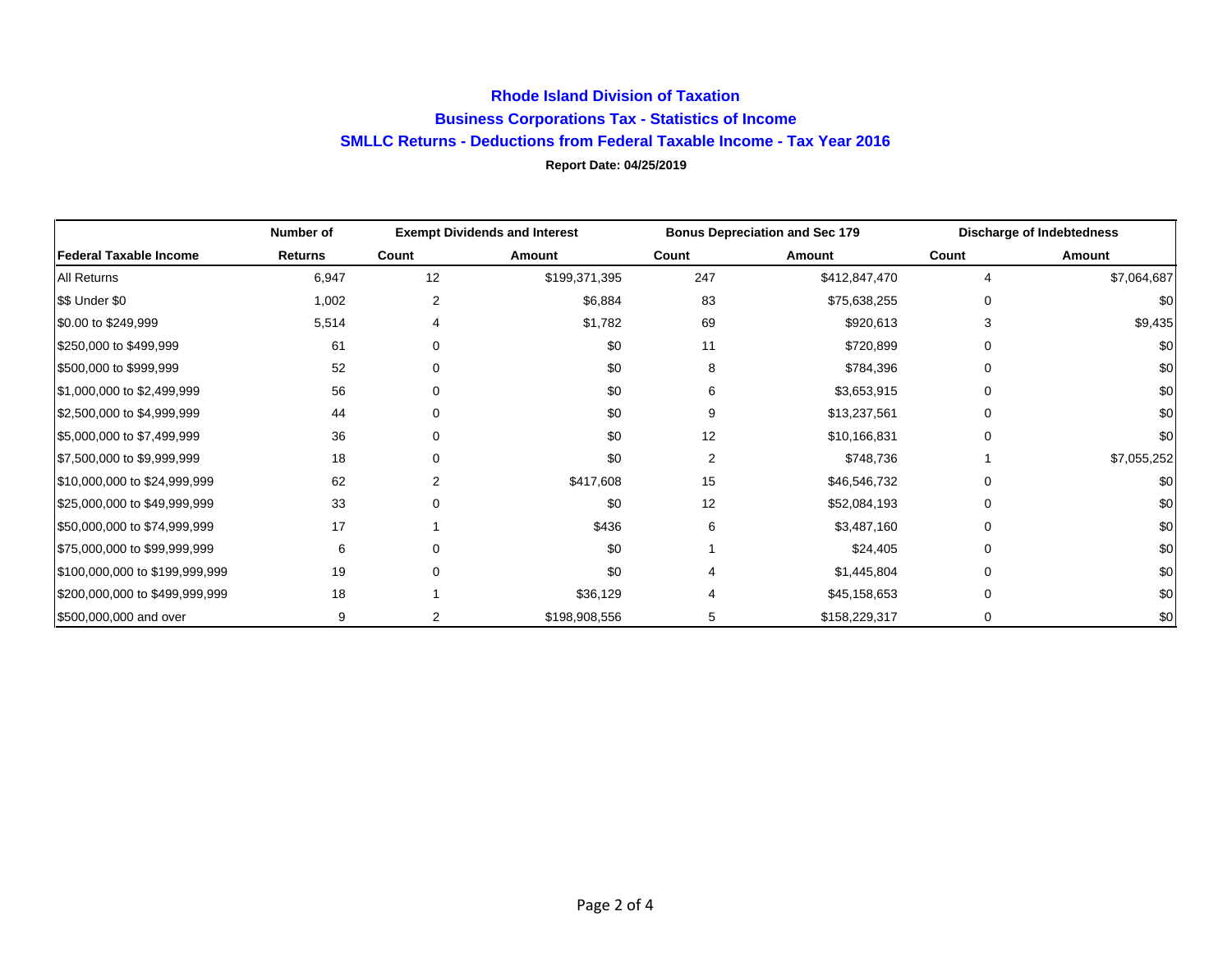## **Rhode Island Division of Taxation Business Corporations Tax - Statistics of Income SMLLC Returns - Deductions from Federal Taxable Income - Tax Year 2016 Report Date: 04/25/2019**

|                                | Number of      | <b>Exempt Dividends and Interest</b> |               | <b>Bonus Depreciation and Sec 179</b> |               | <b>Discharge of Indebtedness</b> |             |
|--------------------------------|----------------|--------------------------------------|---------------|---------------------------------------|---------------|----------------------------------|-------------|
| <b>Federal Taxable Income</b>  | <b>Returns</b> | Count                                | Amount        | Count                                 | Amount        | Count                            | Amount      |
| All Returns                    | 6,947          | 12                                   | \$199,371,395 | 247                                   | \$412,847,470 | 4                                | \$7,064,687 |
| \$\$ Under \$0                 | 1,002          | 2                                    | \$6,884       | 83                                    | \$75,638,255  |                                  | \$0         |
| \$0.00 to \$249,999            | 5,514          | 4                                    | \$1,782       | 69                                    | \$920,613     |                                  | \$9,435     |
| \$250,000 to \$499,999         | 61             | $\Omega$                             | \$0           | 11                                    | \$720,899     |                                  | \$0         |
| \$500,000 to \$999,999         | 52             | $\Omega$                             | \$0           | 8                                     | \$784,396     |                                  | \$0         |
| \$1,000,000 to \$2,499,999     | 56             | $\Omega$                             | \$0           | 6                                     | \$3,653,915   |                                  | \$0         |
| \$2,500,000 to \$4,999,999     | 44             | $\Omega$                             | \$0           | 9                                     | \$13,237,561  |                                  | \$0         |
| \$5,000,000 to \$7,499,999     | 36             | $\Omega$                             | \$0           | 12                                    | \$10,166,831  |                                  | \$0         |
| \$7,500,000 to \$9,999,999     | 18             | $\Omega$                             | \$0           | 2                                     | \$748,736     |                                  | \$7,055,252 |
| \$10,000,000 to \$24,999,999   | 62             |                                      | \$417,608     | 15                                    | \$46,546,732  |                                  | \$0         |
| \$25,000,000 to \$49,999,999   | 33             | $\Omega$                             | \$0           | 12                                    | \$52,084,193  | 0                                | \$0         |
| \$50,000,000 to \$74,999,999   | 17             |                                      | \$436         | 6                                     | \$3,487,160   | U                                | \$0         |
| \$75,000,000 to \$99,999,999   | 6              | ∩                                    | \$0           |                                       | \$24,405      | 0                                | \$0         |
| \$100,000,000 to \$199,999,999 | 19             | $\Omega$                             | \$0           |                                       | \$1,445,804   |                                  | \$0         |
| \$200,000,000 to \$499,999,999 | 18             |                                      | \$36,129      |                                       | \$45,158,653  |                                  | \$0         |
| \$500,000,000 and over         | 9              |                                      | \$198,908,556 | 5                                     | \$158,229,317 | 0                                | \$0         |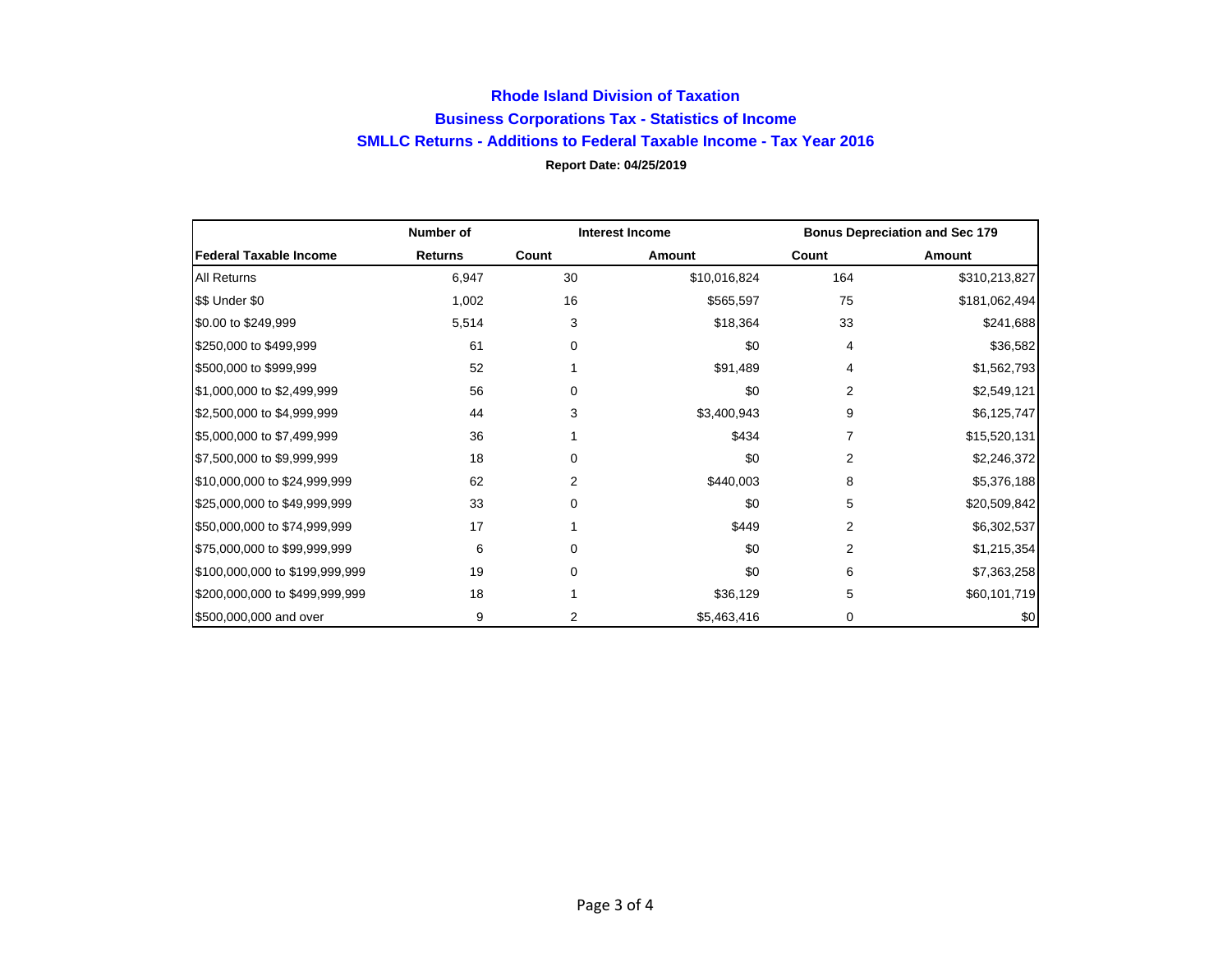## **Rhode Island Division of Taxation Business Corporations Tax - Statistics of Income SMLLC Returns - Additions to Federal Taxable Income - Tax Year 2016 Report Date: 04/25/2019**

|                                | Number of      | <b>Interest Income</b> |              | <b>Bonus Depreciation and Sec 179</b> |               |
|--------------------------------|----------------|------------------------|--------------|---------------------------------------|---------------|
| <b>Federal Taxable Income</b>  | <b>Returns</b> | Count                  | Amount       | Count                                 | Amount        |
| All Returns                    | 6,947          | 30                     | \$10,016,824 | 164                                   | \$310,213,827 |
| \$\$ Under \$0                 | 1,002          | 16                     | \$565,597    | 75                                    | \$181,062,494 |
| \$0.00 to \$249,999            | 5,514          | 3                      | \$18,364     | 33                                    | \$241,688     |
| \$250,000 to \$499,999         | 61             | 0                      | \$0          | 4                                     | \$36,582      |
| \$500,000 to \$999,999         | 52             |                        | \$91,489     | 4                                     | \$1,562,793   |
| \$1,000,000 to \$2,499,999     | 56             | 0                      | \$0          | 2                                     | \$2,549,121   |
| \$2,500,000 to \$4,999,999     | 44             | 3                      | \$3,400,943  | 9                                     | \$6,125,747   |
| \$5,000,000 to \$7,499,999     | 36             |                        | \$434        |                                       | \$15,520,131  |
| \$7,500,000 to \$9,999,999     | 18             | 0                      | \$0          | 2                                     | \$2,246,372   |
| \$10,000,000 to \$24,999,999   | 62             | 2                      | \$440,003    | 8                                     | \$5,376,188   |
| \$25,000,000 to \$49,999,999   | 33             | 0                      | \$0          | 5                                     | \$20,509,842  |
| \$50,000,000 to \$74,999,999   | 17             |                        | \$449        | 2                                     | \$6,302,537   |
| \$75,000,000 to \$99,999,999   | 6              | 0                      | \$0          | 2                                     | \$1,215,354   |
| \$100,000,000 to \$199,999,999 | 19             | 0                      | \$0          | 6                                     | \$7,363,258   |
| \$200,000,000 to \$499,999,999 | 18             |                        | \$36,129     | 5                                     | \$60,101,719  |
| \$500,000,000 and over         | 9              | $\overline{2}$         | \$5,463,416  | 0                                     | \$0           |